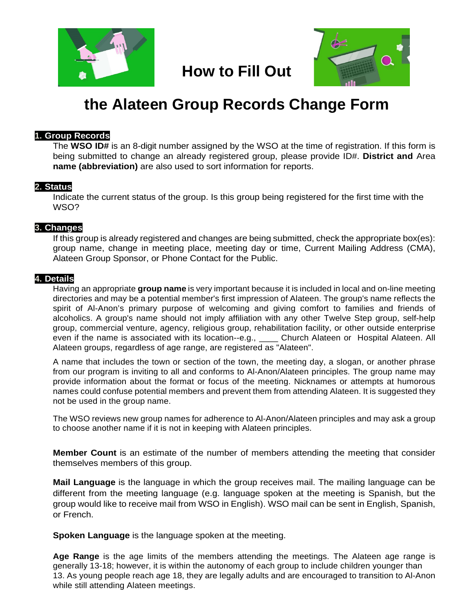



# **the Alateen Group Records Change Form**

**How to Fill Out**

## **1. Group Records**

The **WSO ID#** is an 8-digit number assigned by the WSO at the time of registration. If this form is being submitted to change an already registered group, please provide ID#. **District and** Area **name (abbreviation)** are also used to sort information for reports.

## **2. Status**

Indicate the current status of the group. Is this group being registered for the first time with the WSO?

## **3. Changes**

If this group is already registered and changes are being submitted, check the appropriate box(es): group name, change in meeting place, meeting day or time, Current Mailing Address (CMA), Alateen Group Sponsor, or Phone Contact for the Public.

### **4. Details**

Having an appropriate **group name** is very important because it is included in local and on-line meeting directories and may be a potential member's first impression of Alateen. The group's name reflects the spirit of Al-Anon's primary purpose of welcoming and giving comfort to families and friends of alcoholics. A group's name should not imply affiliation with any other Twelve Step group, self-help group, commercial venture, agency, religious group, rehabilitation facility, or other outside enterprise even if the name is associated with its location--e.g., \_\_\_\_\_ Church Alateen or Hospital Alateen. All Alateen groups, regardless of age range, are registered as "Alateen".

A name that includes the town or section of the town, the meeting day, a slogan, or another phrase from our program is inviting to all and conforms to Al-Anon/Alateen principles. The group name may provide information about the format or focus of the meeting. Nicknames or attempts at humorous names could confuse potential members and prevent them from attending Alateen. It is suggested they not be used in the group name.

The WSO reviews new group names for adherence to Al-Anon/Alateen principles and may ask a group to choose another name if it is not in keeping with Alateen principles.

**Member Count** is an estimate of the number of members attending the meeting that consider themselves members of this group.

**Mail Language** is the language in which the group receives mail. The mailing language can be different from the meeting language (e.g. language spoken at the meeting is Spanish, but the group would like to receive mail from WSO in English). WSO mail can be sent in English, Spanish, or French.

**Spoken Language** is the language spoken at the meeting.

**Age Range** is the age limits of the members attending the meetings. The Alateen age range is generally 13-18; however, it is within the autonomy of each group to include children younger than 13. As young people reach age 18, they are legally adults and are encouraged to transition to Al-Anon while still attending Alateen meetings.